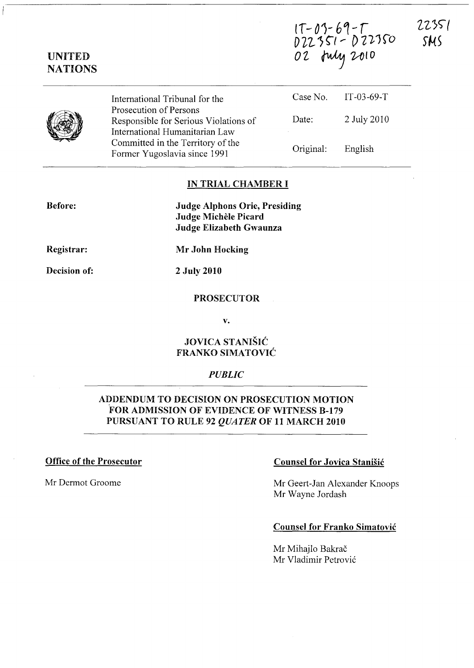| <b>UNITED</b><br><b>NATIONS</b> | International Tribunal for the                                                                    | 022351 - 022350<br>02 Auly 2010 |              |  |
|---------------------------------|---------------------------------------------------------------------------------------------------|---------------------------------|--------------|--|
|                                 |                                                                                                   | Case No.                        | $IT-03-69-T$ |  |
|                                 | Prosecution of Persons<br>Responsible for Serious Violations of<br>International Humanitarian Law | Date:                           | 2 July 2010  |  |
|                                 | Committed in the Territory of the<br>Former Yugoslavia since 1991                                 | Original:                       | English      |  |

### IN TRIAL CHAMBER I

Judge Alphons Orie, Presiding Judge Michele Picard Judge Elizabeth Gwaunza

Registrar:

Before:

Decision of:

2 July 2010

Mr John Hocking

### PROSECUTOR

v.

### JOVICA STANISIC FRANKO SIMATOVIC

### *PUBLIC*

# ADDENDUM TO DECISION ON PROSECUTION MOTION FOR ADMISSION OF EVIDENCE OF WITNESS B-179 PURSUANT TO RULE 92 *QUATER* OF 11 MARCH 2010

# Office of the Prosecutor Counsel for Jovica Stanisic

 $1T.11 - 69 - T$ 

Mr Dermot Groome Mr Geert-Jan Alexander Knoops Mr Wayne Jordash

# Counsel for Franko Simatovic

Mr Mihajlo Bakrač Mr Vladimir Petrović 22351  $SMS$